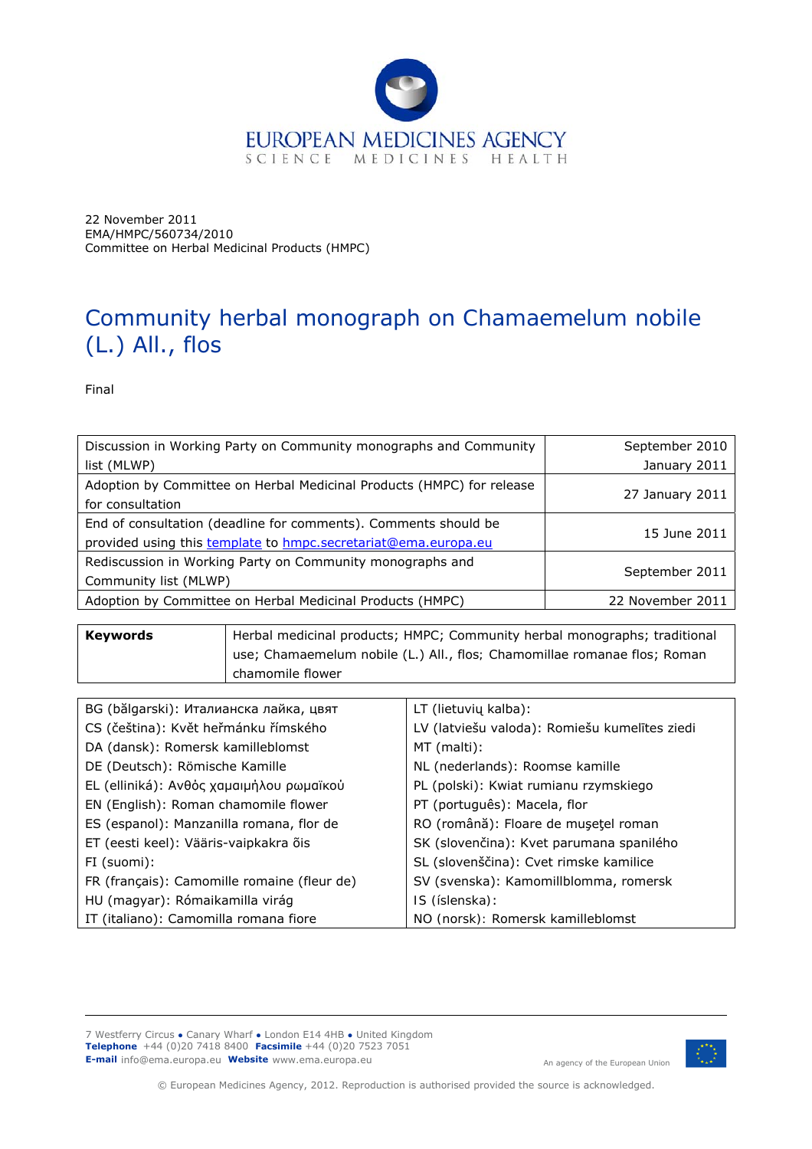

22 November 2011 EMA/HMPC/560734/2010 Committee on Herbal Medicinal Products (HMPC)

# Community herbal monograph on *Chamaemelum nobile* (L.) All., flos

Final

| Discussion in Working Party on Community monographs and Community     | September 2010   |  |
|-----------------------------------------------------------------------|------------------|--|
| list (MLWP)                                                           | January 2011     |  |
| Adoption by Committee on Herbal Medicinal Products (HMPC) for release | 27 January 2011  |  |
| for consultation                                                      |                  |  |
| End of consultation (deadline for comments). Comments should be       | 15 June 2011     |  |
| provided using this template to hmpc.secretariat@ema.europa.eu        |                  |  |
| Rediscussion in Working Party on Community monographs and             |                  |  |
| Community list (MLWP)                                                 | September 2011   |  |
| Adoption by Committee on Herbal Medicinal Products (HMPC)             | 22 November 2011 |  |

| <b>Kevwords</b> | Herbal medicinal products; HMPC; Community herbal monographs; traditional |
|-----------------|---------------------------------------------------------------------------|
|                 | use; Chamaemelum nobile (L.) All., flos; Chamomillae romanae flos; Roman  |
|                 | chamomile flower                                                          |

| BG (bălgarski): Италианска лайка, цвят      | LT (lietuvių kalba):                          |
|---------------------------------------------|-----------------------------------------------|
| CS (čeština): Květ heřmánku římského        | LV (latviešu valoda): Romiešu kumelītes ziedi |
| DA (dansk): Romersk kamilleblomst           | MT (malti):                                   |
| DE (Deutsch): Römische Kamille              | NL (nederlands): Roomse kamille               |
| EL (elliniká): Ανθός χαμαιμήλου ρωμαϊκού    | PL (polski): Kwiat rumianu rzymskiego         |
| EN (English): Roman chamomile flower        | PT (português): Macela, flor                  |
| ES (espanol): Manzanilla romana, flor de    | RO (română): Floare de mușețel roman          |
| ET (eesti keel): Vääris-vaipkakra õis       | SK (slovenčina): Kvet parumana spanilého      |
| FI (suomi):                                 | SL (slovenščina): Cvet rimske kamilice        |
| FR (français): Camomille romaine (fleur de) | SV (svenska): Kamomillblomma, romersk         |
| HU (magyar): Rómaikamilla virág             | IS (íslenska):                                |
| IT (italiano): Camomilla romana fiore       | NO (norsk): Romersk kamilleblomst             |

7 Westferry Circus **●** Canary Wharf **●** London E14 4HB **●** United Kingdom **Telephone** +44 (0)20 7418 8400 **Facsimile** +44 (0)20 7523 7051 **E-mail** info@ema.europa.eu **Website** www.ema.europa.eu An agency of the European Union



© European Medicines Agency, 2012. Reproduction is authorised provided the source is acknowledged.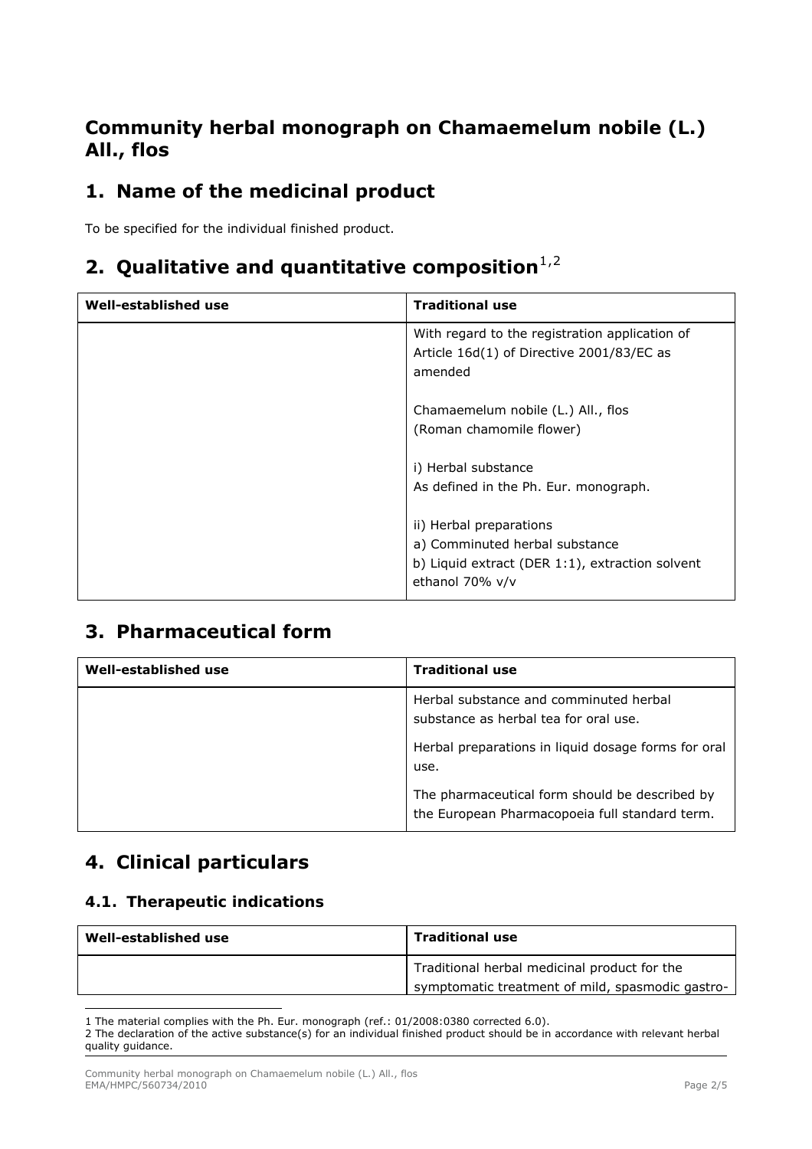### **Community herbal monograph on** *Chamaemelum nobile* **(L.) All., flos**

# **1. Name of the medicinal product**

To be specified for the individual finished product.

### **[2](#page-1-1). Qualitative and quantitative composition**<sup>[1](#page-1-0),2</sup>

| Well-established use | <b>Traditional use</b>                                                                                                          |
|----------------------|---------------------------------------------------------------------------------------------------------------------------------|
|                      | With regard to the registration application of<br>Article 16d(1) of Directive 2001/83/EC as<br>amended                          |
|                      | <i>Chamaemelum nobile</i> (L.) All., flos<br>(Roman chamomile flower)                                                           |
|                      | i) Herbal substance<br>As defined in the Ph. Eur. monograph.                                                                    |
|                      | ii) Herbal preparations<br>a) Comminuted herbal substance<br>b) Liquid extract (DER 1:1), extraction solvent<br>ethanol 70% v/v |

# **3. Pharmaceutical form**

| Well-established use | <b>Traditional use</b>                                                                                                                         |
|----------------------|------------------------------------------------------------------------------------------------------------------------------------------------|
|                      | Herbal substance and comminuted herbal<br>substance as herbal tea for oral use.<br>Herbal preparations in liquid dosage forms for oral<br>use. |
|                      | The pharmaceutical form should be described by<br>the European Pharmacopoeia full standard term.                                               |

# **4. Clinical particulars**

#### *4.1. Therapeutic indications*

| Well-established use | <b>Traditional use</b>                           |
|----------------------|--------------------------------------------------|
|                      | Traditional herbal medicinal product for the     |
|                      | symptomatic treatment of mild, spasmodic gastro- |

<span id="page-1-0"></span>ł 1 The material complies with the Ph. Eur. monograph (ref.: 01/2008:0380 corrected 6.0).

<span id="page-1-1"></span><sup>2</sup> The declaration of the active substance(s) for an individual finished product should be in accordance with relevant herbal quality guidance.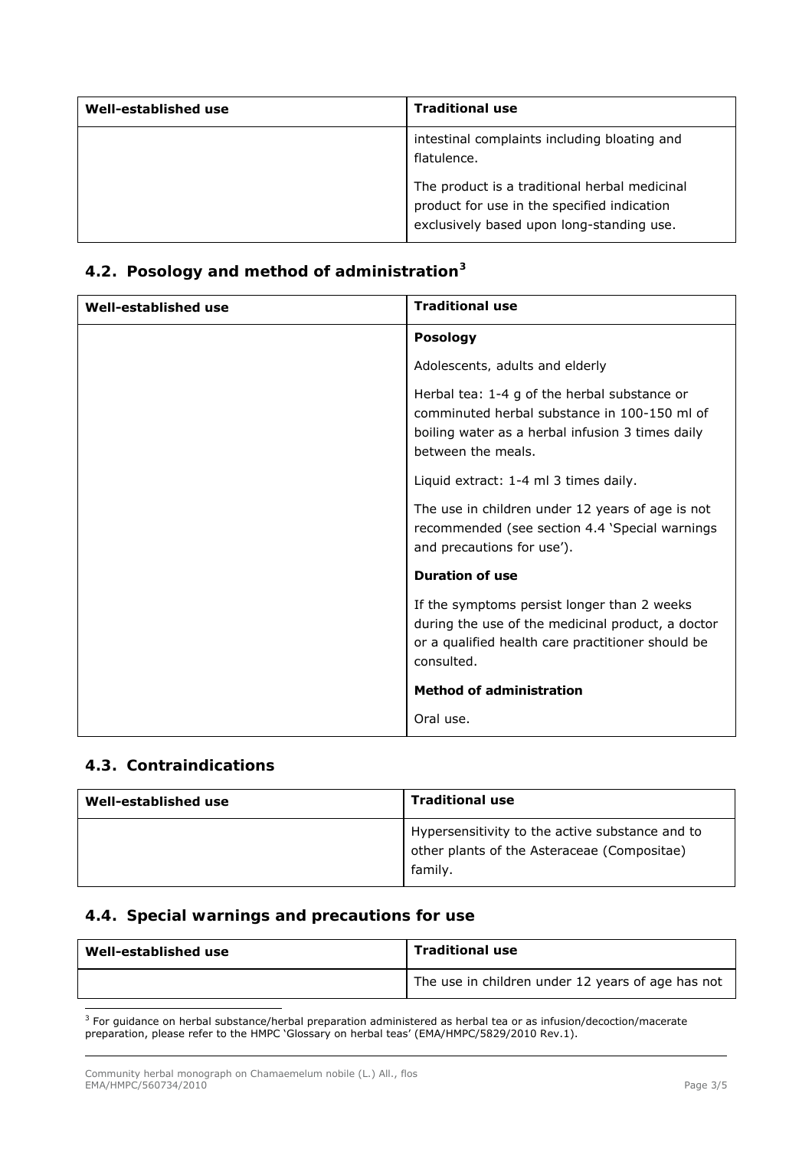| Well-established use | <b>Traditional use</b>                                                                                                                    |
|----------------------|-------------------------------------------------------------------------------------------------------------------------------------------|
|                      | intestinal complaints including bloating and<br>flatulence.                                                                               |
|                      | The product is a traditional herbal medicinal<br>product for use in the specified indication<br>exclusively based upon long-standing use. |

### *4.2. Posology and method of administration[3](#page-2-0)*

| Well-established use | <b>Traditional use</b>                                                                                                                                                                                          |
|----------------------|-----------------------------------------------------------------------------------------------------------------------------------------------------------------------------------------------------------------|
|                      | <b>Posology</b>                                                                                                                                                                                                 |
|                      | Adolescents, adults and elderly                                                                                                                                                                                 |
|                      | Herbal tea: 1-4 g of the herbal substance or<br>comminuted herbal substance in 100-150 ml of<br>boiling water as a herbal infusion 3 times daily<br>between the meals.<br>Liquid extract: 1-4 ml 3 times daily. |
|                      | The use in children under 12 years of age is not<br>recommended (see section 4.4 'Special warnings<br>and precautions for use').                                                                                |
|                      | <b>Duration of use</b>                                                                                                                                                                                          |
|                      | If the symptoms persist longer than 2 weeks<br>during the use of the medicinal product, a doctor<br>or a qualified health care practitioner should be<br>consulted.                                             |
|                      | <b>Method of administration</b>                                                                                                                                                                                 |
|                      | Oral use.                                                                                                                                                                                                       |

#### *4.3. Contraindications*

| Well-established use | <b>Traditional use</b>                                                                                    |
|----------------------|-----------------------------------------------------------------------------------------------------------|
|                      | Hypersensitivity to the active substance and to<br>other plants of the Asteraceae (Compositae)<br>family. |

#### *4.4. Special warnings and precautions for use*

| Well-established use | <b>Traditional use</b>                            |
|----------------------|---------------------------------------------------|
|                      | The use in children under 12 years of age has not |

<span id="page-2-0"></span> 3 For guidance on herbal substance/herbal preparation administered as herbal tea or as infusion/decoction/macerate preparation, please refer to the HMPC 'Glossary on herbal teas' (EMA/HMPC/5829/2010 Rev.1).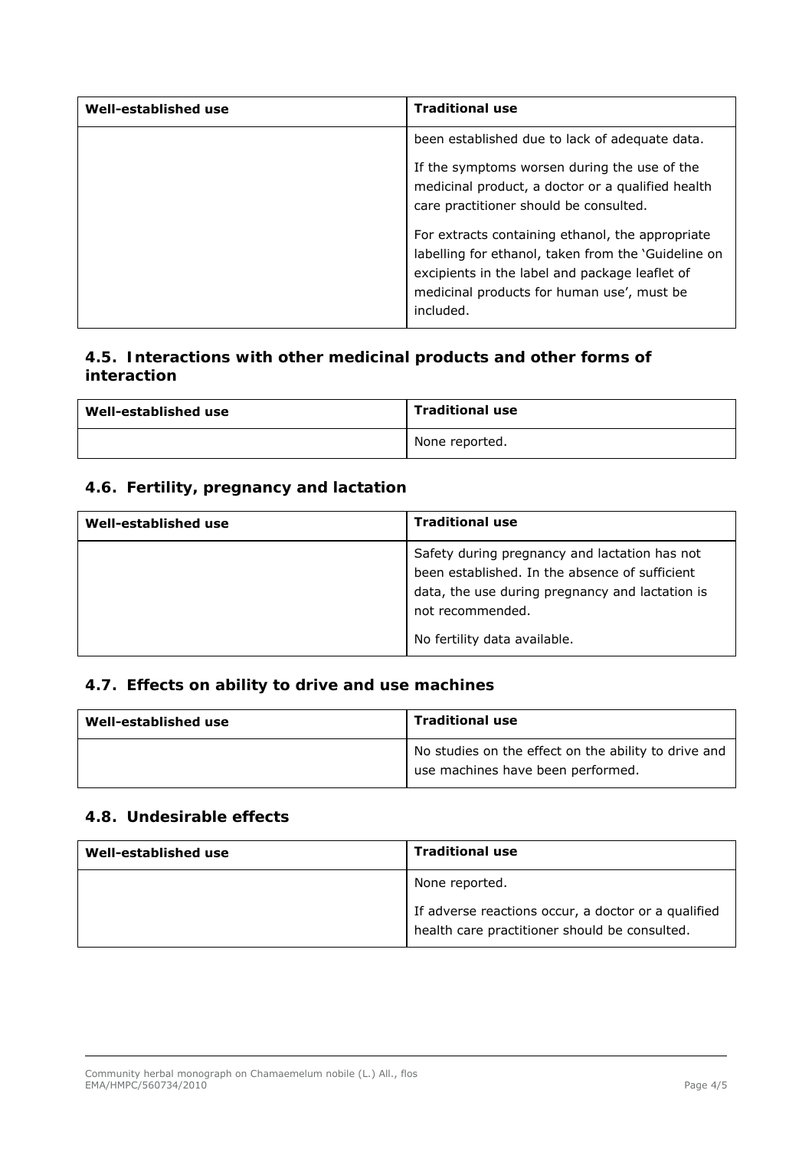| Well-established use | <b>Traditional use</b>                                                                                                                                                                                               |
|----------------------|----------------------------------------------------------------------------------------------------------------------------------------------------------------------------------------------------------------------|
|                      | been established due to lack of adequate data.                                                                                                                                                                       |
|                      | If the symptoms worsen during the use of the<br>medicinal product, a doctor or a qualified health<br>care practitioner should be consulted.                                                                          |
|                      | For extracts containing ethanol, the appropriate<br>labelling for ethanol, taken from the 'Guideline on<br>excipients in the label and package leaflet of<br>medicinal products for human use', must be<br>included. |

#### *4.5. Interactions with other medicinal products and other forms of interaction*

| Well-established use | <b>Traditional use</b> |
|----------------------|------------------------|
|                      | None reported.         |

#### *4.6. Fertility, pregnancy and lactation*

| Well-established use | <b>Traditional use</b>                                                                                                                                                                                 |
|----------------------|--------------------------------------------------------------------------------------------------------------------------------------------------------------------------------------------------------|
|                      | Safety during pregnancy and lactation has not<br>been established. In the absence of sufficient<br>data, the use during pregnancy and lactation is<br>not recommended.<br>No fertility data available. |

#### *4.7. Effects on ability to drive and use machines*

| Well-established use | <b>Traditional use</b>                                                                    |
|----------------------|-------------------------------------------------------------------------------------------|
|                      | No studies on the effect on the ability to drive and<br>use machines have been performed. |

#### *4.8. Undesirable effects*

| Well-established use | <b>Traditional use</b>                                                                               |
|----------------------|------------------------------------------------------------------------------------------------------|
|                      | None reported.                                                                                       |
|                      | If adverse reactions occur, a doctor or a qualified<br>health care practitioner should be consulted. |